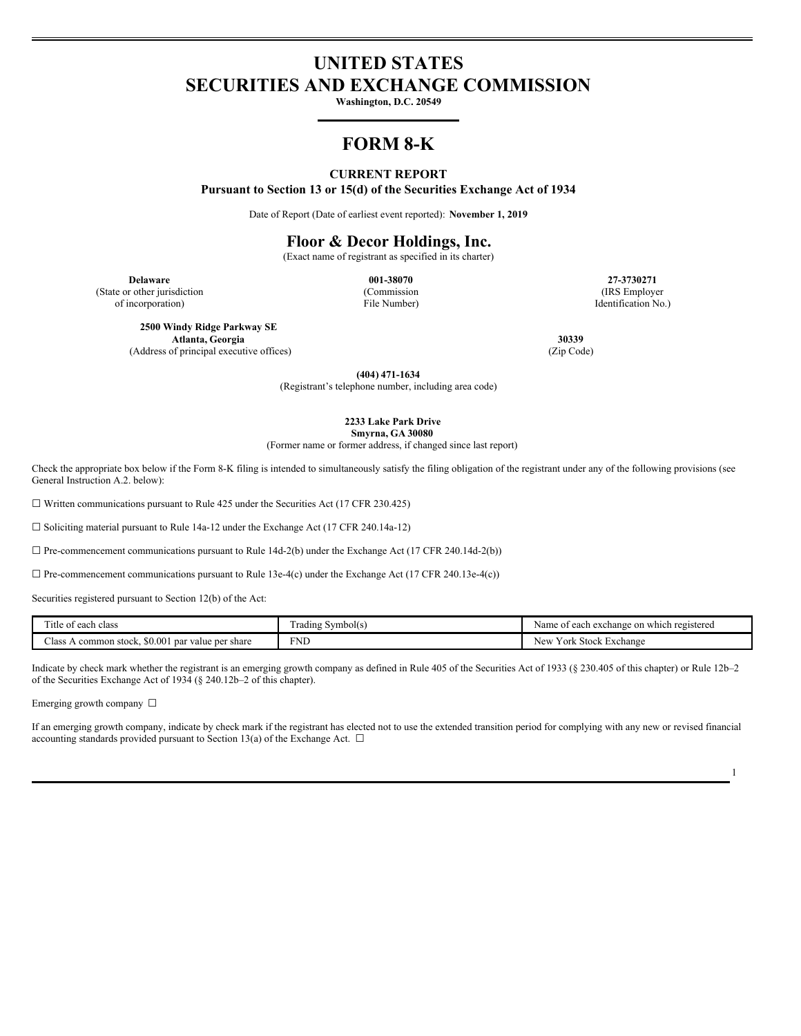# **UNITED STATES SECURITIES AND EXCHANGE COMMISSION**

**Washington, D.C. 20549**

# **FORM 8-K**

### **CURRENT REPORT**

**Pursuant to Section 13 or 15(d) of the Securities Exchange Act of 1934**

Date of Report (Date of earliest event reported): **November 1, 2019**

## **Floor & Decor Holdings, Inc.**

(Exact name of registrant as specified in its charter)

**Delaware 001-38070 27-3730271** (State or other jurisdiction of incorporation)

(Commission File Number)

(IRS Employer Identification No.)

**2500 Windy Ridge Parkway SE Atlanta, Georgia 30339**

(Address of principal executive offices) (Zip Code)

**(404) 471-1634**

(Registrant's telephone number, including area code)

**2233 Lake Park Drive Smyrna, GA 30080**

(Former name or former address, if changed since last report)

Check the appropriate box below if the Form 8-K filing is intended to simultaneously satisfy the filing obligation of the registrant under any of the following provisions (see General Instruction A.2. below):

☐ Written communications pursuant to Rule 425 under the Securities Act (17 CFR 230.425)

☐ Soliciting material pursuant to Rule 14a-12 under the Exchange Act (17 CFR 240.14a-12)

 $\Box$  Pre-commencement communications pursuant to Rule 14d-2(b) under the Exchange Act (17 CFR 240.14d-2(b))

 $\Box$  Pre-commencement communications pursuant to Rule 13e-4(c) under the Exchange Act (17 CFR 240.13e-4(c))

Securities registered pursuant to Section 12(b) of the Act:

| $-1$<br>`itle<br>each class<br>ാ 1                                                        | Symbol(s)<br>radıng                    | i registered<br>⊢whici<br>exchange<br>on<br>√an<br>each<br>. OT |
|-------------------------------------------------------------------------------------------|----------------------------------------|-----------------------------------------------------------------|
| \$0.00<br>$-1$<br>stock.<br>e per share<br>$\sim$<br>common<br>par value<br>$\sim$ $\sim$ | FND<br>the contract of the contract of | Exchange<br>New<br><b>Stock</b><br>$\mathbf{r}$ or $\mathbf{r}$ |

Indicate by check mark whether the registrant is an emerging growth company as defined in Rule 405 of the Securities Act of 1933 (§ 230.405 of this chapter) or Rule 12b–2 of the Securities Exchange Act of 1934 (§ 240.12b–2 of this chapter).

Emerging growth company ☐

If an emerging growth company, indicate by check mark if the registrant has elected not to use the extended transition period for complying with any new or revised financial accounting standards provided pursuant to Section 13(a) of the Exchange Act.  $\Box$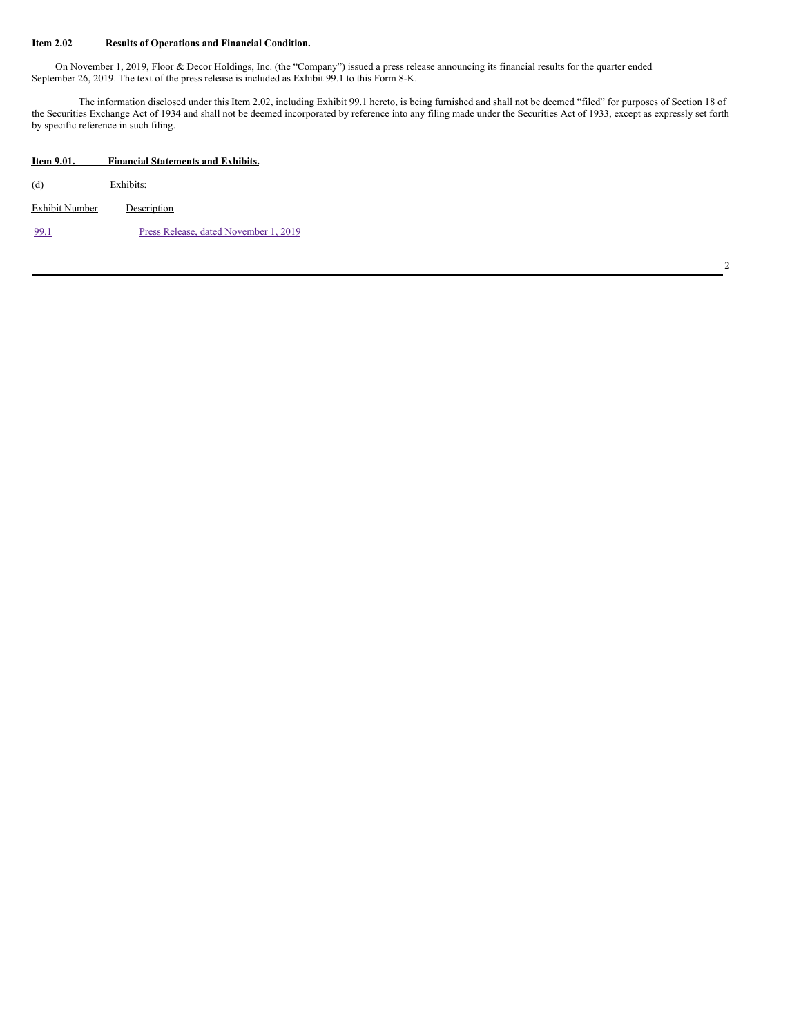#### **Item 2.02 Results of Operations and Financial Condition.**

On November 1, 2019, Floor & Decor Holdings, Inc. (the "Company") issued a press release announcing its financial results for the quarter ended September 26, 2019. The text of the press release is included as Exhibit 99.1 to this Form 8-K.

The information disclosed under this Item 2.02, including Exhibit 99.1 hereto, is being furnished and shall not be deemed "filed" for purposes of Section 18 of the Securities Exchange Act of 1934 and shall not be deemed incorporated by reference into any filing made under the Securities Act of 1933, except as expressly set forth by specific reference in such filing.

| Item 9.01. | <b>Financial Statements and Exhibits.</b> |
|------------|-------------------------------------------|
| (d)        | Exhibits:                                 |

Exhibit Number Description

[99.1](#page-8-0) Press Release, dated [November](#page-8-0) 1, 2019

2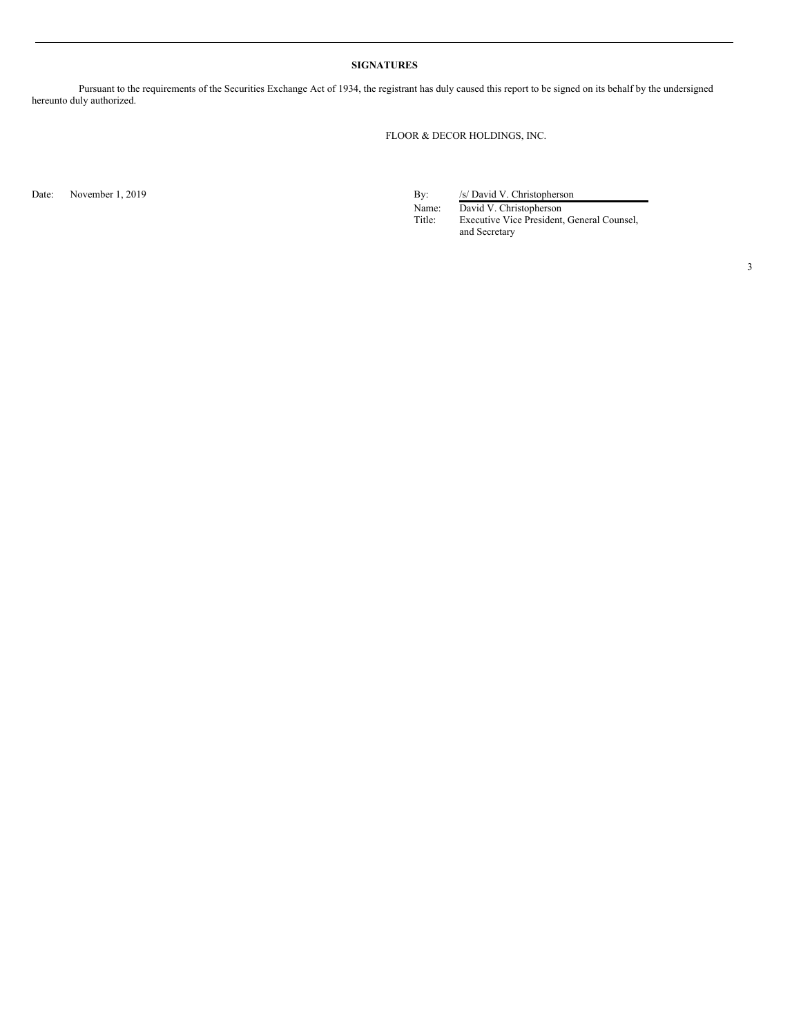#### **SIGNATURES**

Pursuant to the requirements of the Securities Exchange Act of 1934, the registrant has duly caused this report to be signed on its behalf by the undersigned hereunto duly authorized.

FLOOR & DECOR HOLDINGS, INC.

Date: November 1, 2019 By: /s/ David V. Christopherson

Name: David V. Christopherson Title: Executive Vice President, General Counsel, and Secretary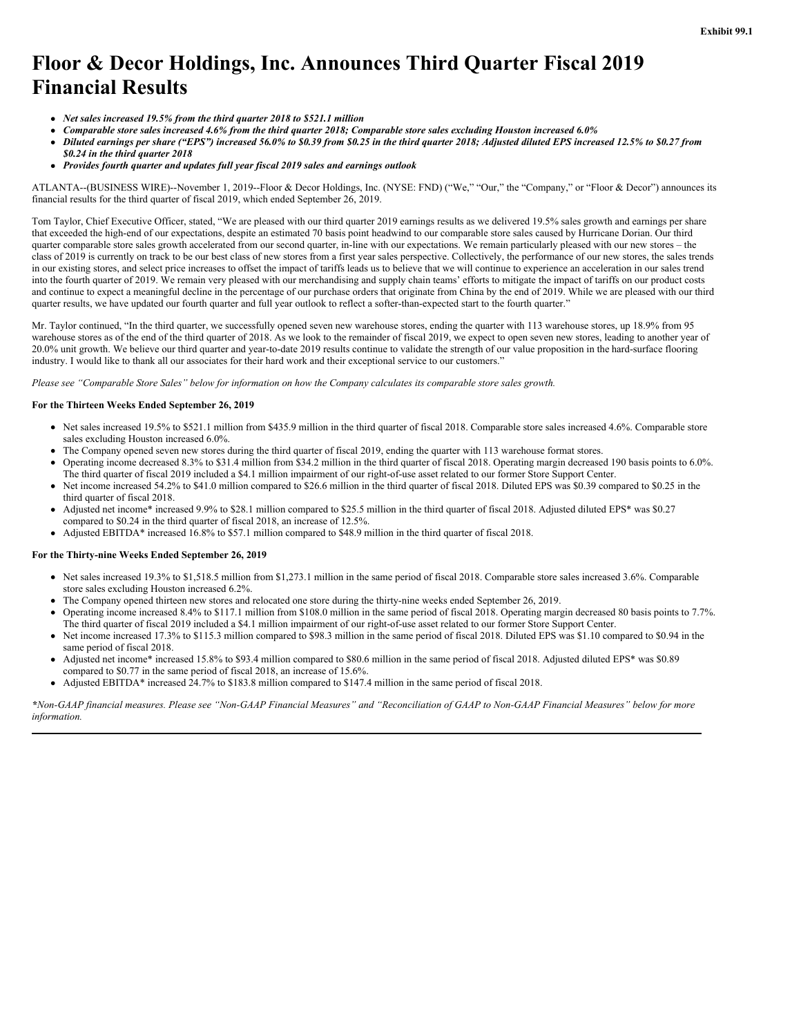# **Floor & Decor Holdings, Inc. Announces Third Quarter Fiscal 2019 Financial Results**

- *Net sales increased 19.5% from the third quarter 2018 to \$521.1 million*
- Comparable store sales increased 4.6% from the third quarter 2018; Comparable store sales excluding Houston increased 6.0%
- Diluted earnings per share ("EPS") increased 56.0% to \$0.39 from \$0.25 in the third quarter 2018; Adjusted diluted EPS increased 12.5% to \$0.27 from *\$0.24 in the third quarter 2018*
- *Provides fourth quarter and updates full year fiscal 2019 sales and earnings outlook*

ATLANTA--(BUSINESS WIRE)--November 1, 2019--Floor & Decor Holdings, Inc. (NYSE: FND) ("We," "Our," the "Company," or "Floor & Decor") announces its financial results for the third quarter of fiscal 2019, which ended September 26, 2019.

Tom Taylor, Chief Executive Officer, stated, "We are pleased with our third quarter 2019 earnings results as we delivered 19.5% sales growth and earnings per share that exceeded the high-end of our expectations, despite an estimated 70 basis point headwind to our comparable store sales caused by Hurricane Dorian. Our third quarter comparable store sales growth accelerated from our second quarter, in-line with our expectations. We remain particularly pleased with our new stores – the class of 2019 is currently on track to be our best class of new stores from a first year sales perspective. Collectively, the performance of our new stores, the sales trends in our existing stores, and select price increases to offset the impact of tariffs leads us to believe that we will continue to experience an acceleration in our sales trend into the fourth quarter of 2019. We remain very pleased with our merchandising and supply chain teams' efforts to mitigate the impact of tariffs on our product costs and continue to expect a meaningful decline in the percentage of our purchase orders that originate from China by the end of 2019. While we are pleased with our third quarter results, we have updated our fourth quarter and full year outlook to reflect a softer-than-expected start to the fourth quarter."

Mr. Taylor continued, "In the third quarter, we successfully opened seven new warehouse stores, ending the quarter with 113 warehouse stores, up 18.9% from 95 warehouse stores as of the end of the third quarter of 2018. As we look to the remainder of fiscal 2019, we expect to open seven new stores, leading to another year of 20.0% unit growth. We believe our third quarter and year-to-date 2019 results continue to validate the strength of our value proposition in the hard-surface flooring industry. I would like to thank all our associates for their hard work and their exceptional service to our customers."

Please see "Comparable Store Sales" below for information on how the Company calculates its comparable store sales growth.

#### **For the Thirteen Weeks Ended September 26, 2019**

- Net sales increased 19.5% to \$521.1 million from \$435.9 million in the third quarter of fiscal 2018. Comparable store sales increased 4.6%. Comparable store sales excluding Houston increased 6.0%.
- The Company opened seven new stores during the third quarter of fiscal 2019, ending the quarter with 113 warehouse format stores.
- Operating income decreased 8.3% to \$31.4 million from \$34.2 million in the third quarter of fiscal 2018. Operating margin decreased 190 basis points to 6.0%. The third quarter of fiscal 2019 included a \$4.1 million impairment of our right-of-use asset related to our former Store Support Center.
- $\bullet$ Net income increased 54.2% to \$41.0 million compared to \$26.6 million in the third quarter of fiscal 2018. Diluted EPS was \$0.39 compared to \$0.25 in the third quarter of fiscal 2018.
- Adjusted net income\* increased 9.9% to \$28.1 million compared to \$25.5 million in the third quarter of fiscal 2018. Adjusted diluted EPS\* was \$0.27 compared to \$0.24 in the third quarter of fiscal 2018, an increase of 12.5%.
- Adjusted EBITDA\* increased 16.8% to \$57.1 million compared to \$48.9 million in the third quarter of fiscal 2018.

#### **For the Thirty-nine Weeks Ended September 26, 2019**

- Net sales increased 19.3% to \$1,518.5 million from \$1,273.1 million in the same period of fiscal 2018. Comparable store sales increased 3.6%. Comparable store sales excluding Houston increased 6.2%.
- The Company opened thirteen new stores and relocated one store during the thirty-nine weeks ended September 26, 2019.
- Operating income increased 8.4% to \$117.1 million from \$108.0 million in the same period of fiscal 2018. Operating margin decreased 80 basis points to 7.7%. The third quarter of fiscal 2019 included a \$4.1 million impairment of our right-of-use asset related to our former Store Support Center.
- Net income increased 17.3% to \$115.3 million compared to \$98.3 million in the same period of fiscal 2018. Diluted EPS was \$1.10 compared to \$0.94 in the same period of fiscal 2018.
- Adjusted net income\* increased 15.8% to \$93.4 million compared to \$80.6 million in the same period of fiscal 2018. Adjusted diluted EPS\* was \$0.89 compared to \$0.77 in the same period of fiscal 2018, an increase of 15.6%.
- Adjusted EBITDA\* increased 24.7% to \$183.8 million compared to \$147.4 million in the same period of fiscal 2018.

\*Non-GAAP financial measures. Please see "Non-GAAP Financial Measures" and "Reconciliation of GAAP to Non-GAAP Financial Measures" below for more *information.*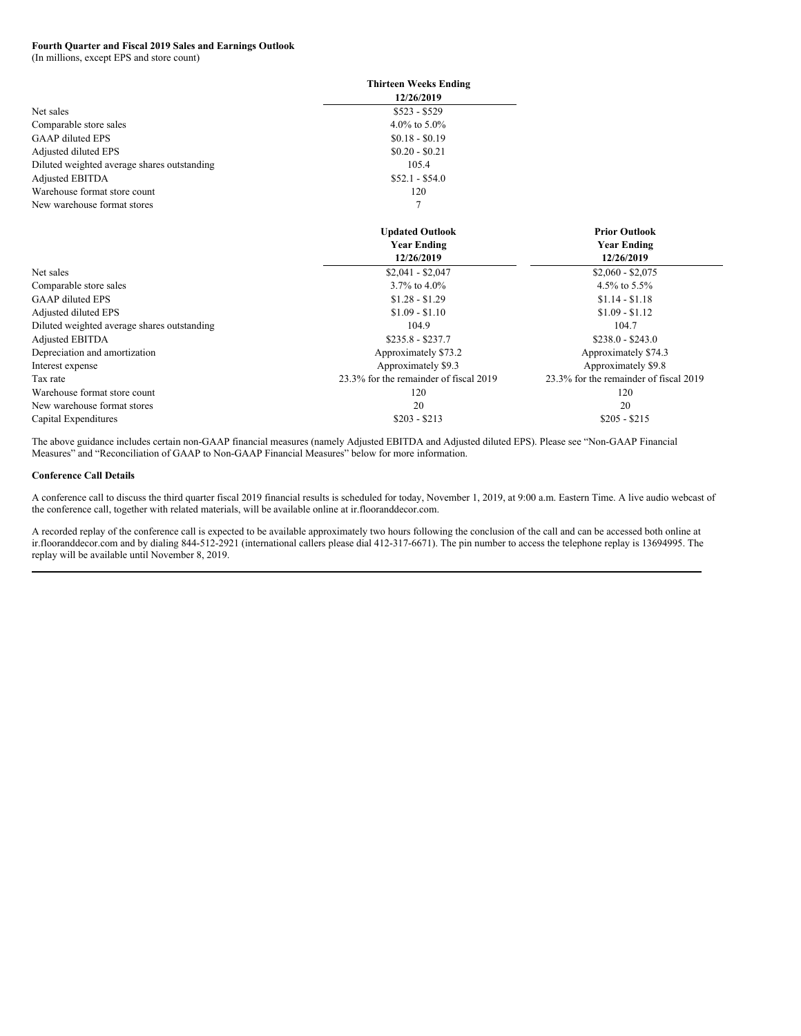#### **Fourth Quarter and Fiscal 2019 Sales and Earnings Outlook**

(In millions, except EPS and store count)

|                                             | <b>Thirteen Weeks Ending</b>           |                                        |
|---------------------------------------------|----------------------------------------|----------------------------------------|
|                                             | 12/26/2019                             |                                        |
| Net sales                                   | $$523 - $529$                          |                                        |
| Comparable store sales                      | 4.0% to $5.0\%$                        |                                        |
| <b>GAAP</b> diluted EPS                     | $$0.18 - $0.19$                        |                                        |
| Adjusted diluted EPS                        | $$0.20 - $0.21$                        |                                        |
| Diluted weighted average shares outstanding | 105.4                                  |                                        |
| <b>Adjusted EBITDA</b>                      | $$52.1 - $54.0$                        |                                        |
| Warehouse format store count                | 120                                    |                                        |
| New warehouse format stores                 |                                        |                                        |
|                                             | <b>Updated Outlook</b>                 | <b>Prior Outlook</b>                   |
|                                             | <b>Year Ending</b>                     | <b>Year Ending</b>                     |
|                                             | 12/26/2019                             | 12/26/2019                             |
| Net sales                                   | $$2,041 - $2,047$                      | $$2,060 - $2,075$                      |
| Comparable store sales                      | 3.7% to 4.0%                           | 4.5% to 5.5%                           |
| <b>GAAP</b> diluted EPS                     | $$1.28 - $1.29$                        | $$1.14 - $1.18$                        |
| <b>Adjusted diluted EPS</b>                 | $$1.09 - $1.10$                        | $$1.09 - $1.12$                        |
| Diluted weighted average shares outstanding | 104.9                                  | 104.7                                  |
| <b>Adjusted EBITDA</b>                      | $$235.8 - $237.7$                      | $$238.0 - $243.0$                      |
| Depreciation and amortization               | Approximately \$73.2                   | Approximately \$74.3                   |
| Interest expense                            | Approximately \$9.3                    | Approximately \$9.8                    |
| Tax rate                                    | 23.3% for the remainder of fiscal 2019 | 23.3% for the remainder of fiscal 2019 |
| Warehouse format store count                | 120                                    | 120                                    |
| New warehouse format stores                 | 20                                     | 20                                     |
| Capital Expenditures                        | $$203 - $213$                          | $$205 - $215$                          |

The above guidance includes certain non-GAAP financial measures (namely Adjusted EBITDA and Adjusted diluted EPS). Please see "Non-GAAP Financial Measures" and "Reconciliation of GAAP to Non-GAAP Financial Measures" below for more information.

#### **Conference Call Details**

A conference call to discuss the third quarter fiscal 2019 financial results is scheduled for today, November 1, 2019, at 9:00 a.m. Eastern Time. A live audio webcast of the conference call, together with related materials, will be available online at ir.flooranddecor.com.

A recorded replay of the conference call is expected to be available approximately two hours following the conclusion of the call and can be accessed both online at ir.flooranddecor.com and by dialing 844-512-2921 (international callers please dial 412-317-6671). The pin number to access the telephone replay is 13694995. The replay will be available until November 8, 2019.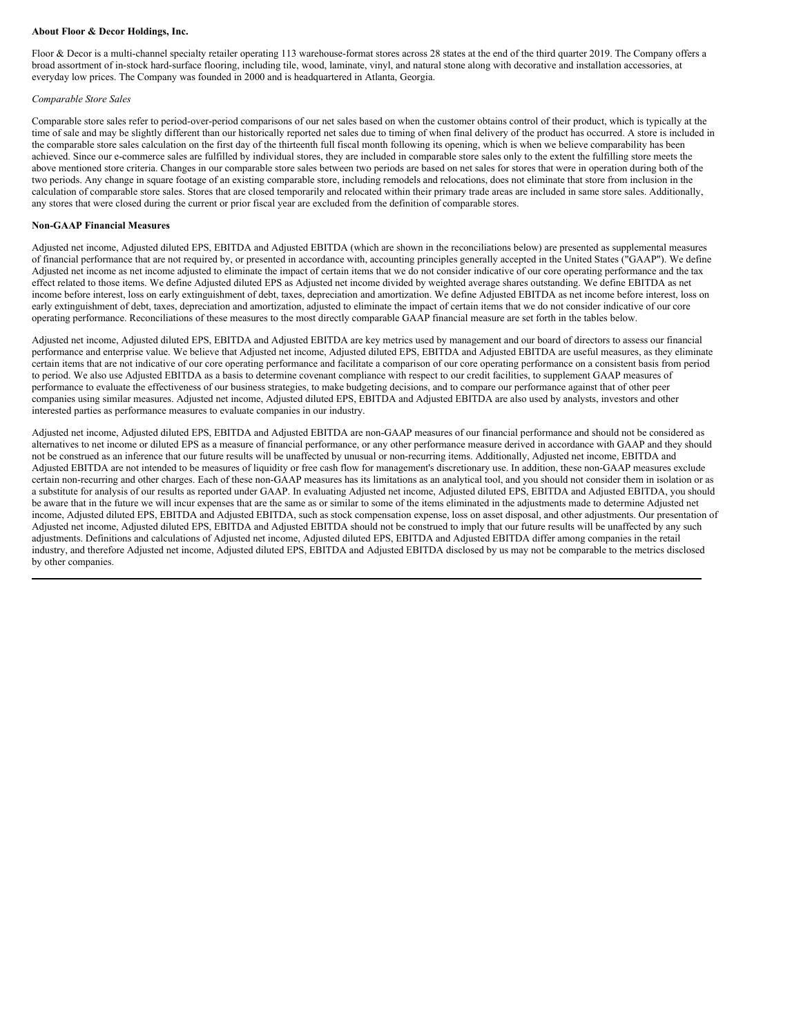#### **About Floor & Decor Holdings, Inc.**

Floor & Decor is a multi-channel specialty retailer operating 113 warehouse-format stores across 28 states at the end of the third quarter 2019. The Company offers a broad assortment of in-stock hard-surface flooring, including tile, wood, laminate, vinyl, and natural stone along with decorative and installation accessories, at everyday low prices. The Company was founded in 2000 and is headquartered in Atlanta, Georgia.

#### *Comparable Store Sales*

Comparable store sales refer to period-over-period comparisons of our net sales based on when the customer obtains control of their product, which is typically at the time of sale and may be slightly different than our historically reported net sales due to timing of when final delivery of the product has occurred. A store is included in the comparable store sales calculation on the first day of the thirteenth full fiscal month following its opening, which is when we believe comparability has been achieved. Since our e-commerce sales are fulfilled by individual stores, they are included in comparable store sales only to the extent the fulfilling store meets the above mentioned store criteria. Changes in our comparable store sales between two periods are based on net sales for stores that were in operation during both of the two periods. Any change in square footage of an existing comparable store, including remodels and relocations, does not eliminate that store from inclusion in the calculation of comparable store sales. Stores that are closed temporarily and relocated within their primary trade areas are included in same store sales. Additionally, any stores that were closed during the current or prior fiscal year are excluded from the definition of comparable stores.

#### **Non-GAAP Financial Measures**

Adjusted net income, Adjusted diluted EPS, EBITDA and Adjusted EBITDA (which are shown in the reconciliations below) are presented as supplemental measures of financial performance that are not required by, or presented in accordance with, accounting principles generally accepted in the United States ("GAAP"). We define Adjusted net income as net income adjusted to eliminate the impact of certain items that we do not consider indicative of our core operating performance and the tax effect related to those items. We define Adjusted diluted EPS as Adjusted net income divided by weighted average shares outstanding. We define EBITDA as net income before interest, loss on early extinguishment of debt, taxes, depreciation and amortization. We define Adjusted EBITDA as net income before interest, loss on early extinguishment of debt, taxes, depreciation and amortization, adjusted to eliminate the impact of certain items that we do not consider indicative of our core operating performance. Reconciliations of these measures to the most directly comparable GAAP financial measure are set forth in the tables below.

Adjusted net income, Adjusted diluted EPS, EBITDA and Adjusted EBITDA are key metrics used by management and our board of directors to assess our financial performance and enterprise value. We believe that Adjusted net income, Adjusted diluted EPS, EBITDA and Adjusted EBITDA are useful measures, as they eliminate certain items that are not indicative of our core operating performance and facilitate a comparison of our core operating performance on a consistent basis from period to period. We also use Adjusted EBITDA as a basis to determine covenant compliance with respect to our credit facilities, to supplement GAAP measures of performance to evaluate the effectiveness of our business strategies, to make budgeting decisions, and to compare our performance against that of other peer companies using similar measures. Adjusted net income, Adjusted diluted EPS, EBITDA and Adjusted EBITDA are also used by analysts, investors and other interested parties as performance measures to evaluate companies in our industry.

Adjusted net income, Adjusted diluted EPS, EBITDA and Adjusted EBITDA are non-GAAP measures of our financial performance and should not be considered as alternatives to net income or diluted EPS as a measure of financial performance, or any other performance measure derived in accordance with GAAP and they should not be construed as an inference that our future results will be unaffected by unusual or non-recurring items. Additionally, Adjusted net income, EBITDA and Adjusted EBITDA are not intended to be measures of liquidity or free cash flow for management's discretionary use. In addition, these non-GAAP measures exclude certain non-recurring and other charges. Each of these non-GAAP measures has its limitations as an analytical tool, and you should not consider them in isolation or as a substitute for analysis of our results as reported under GAAP. In evaluating Adjusted net income, Adjusted diluted EPS, EBITDA and Adjusted EBITDA, you should be aware that in the future we will incur expenses that are the same as or similar to some of the items eliminated in the adjustments made to determine Adjusted net income, Adjusted diluted EPS, EBITDA and Adjusted EBITDA, such as stock compensation expense, loss on asset disposal, and other adjustments. Our presentation of Adjusted net income, Adjusted diluted EPS, EBITDA and Adjusted EBITDA should not be construed to imply that our future results will be unaffected by any such adjustments. Definitions and calculations of Adjusted net income, Adjusted diluted EPS, EBITDA and Adjusted EBITDA differ among companies in the retail industry, and therefore Adjusted net income, Adjusted diluted EPS, EBITDA and Adjusted EBITDA disclosed by us may not be comparable to the metrics disclosed by other companies.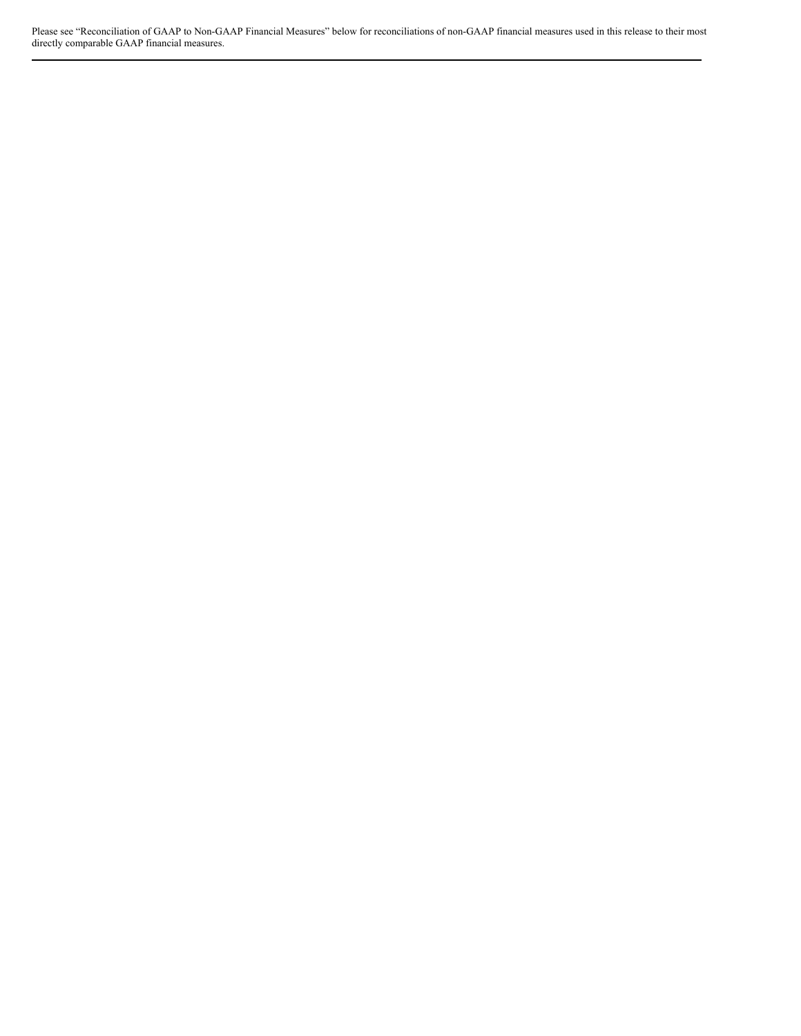Please see "Reconciliation of GAAP to Non-GAAP Financial Measures" below for reconciliations of non-GAAP financial measures used in this release to their most directly comparable GAAP financial measures.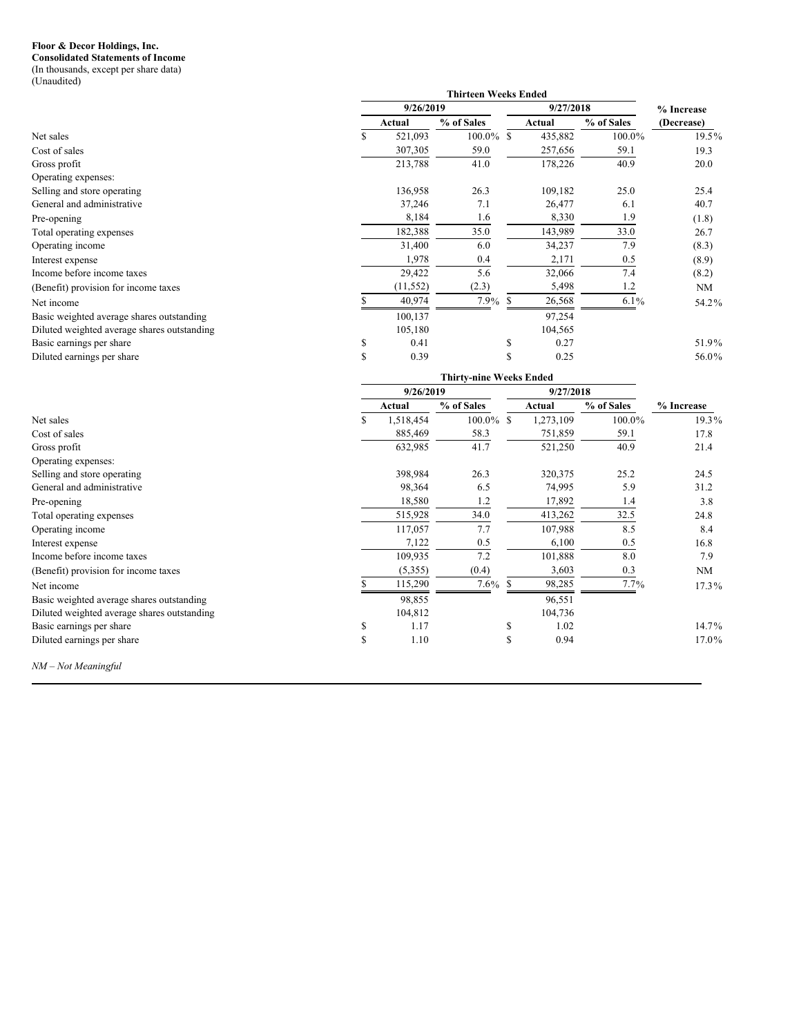#### **Floor & Decor Holdings, Inc. Consolidated Statements of Income** (In thousands, except per share data) (Unaudited)

|                                             |    | % of Sales<br>Actual |              | Actual |         |
|---------------------------------------------|----|----------------------|--------------|--------|---------|
| Net sales                                   | S  | 521,093              | $100.0\%$ \$ |        | 435,882 |
| Cost of sales                               |    | 307,305              | 59.0         |        | 257,656 |
| Gross profit                                |    | 213,788              | 41.0         |        | 178,226 |
| Operating expenses:                         |    |                      |              |        |         |
| Selling and store operating                 |    | 136,958              | 26.3         |        | 109,182 |
| General and administrative                  |    | 37,246               | 7.1          |        | 26,477  |
| Pre-opening                                 |    | 8,184                | 1.6          |        | 8,330   |
| Total operating expenses                    |    | 182,388              | 35.0         |        | 143,989 |
| Operating income                            |    | 31,400               | 6.0          |        | 34,237  |
| Interest expense                            |    | 1,978                | 0.4          |        | 2,171   |
| Income before income taxes                  |    | 29,422               | 5.6          |        | 32,066  |
| (Benefit) provision for income taxes        |    | (11, 552)            | (2.3)        |        | 5,498   |
| Net income                                  |    | 40,974               | $7.9\%$      | S      | 26,568  |
| Basic weighted average shares outstanding   |    | 100,137              |              |        | 97,254  |
| Diluted weighted average shares outstanding |    | 105,180              |              |        | 104,565 |
| Basic earnings per share                    | \$ | 0.41                 |              | \$     | 0.27    |
| Diluted earnings per share                  | \$ | 0.39                 |              | \$     | 0.25    |

|                                             | <b>Thirteen Weeks Ended</b> |              |           |            |            |
|---------------------------------------------|-----------------------------|--------------|-----------|------------|------------|
|                                             | 9/26/2019                   |              | 9/27/2018 |            | % Increase |
|                                             | Actual                      | % of Sales   | Actual    | % of Sales | (Decrease) |
| Net sales                                   | 521,093                     | $100.0\%$ \$ | 435,882   | 100.0%     | $19.5\%$   |
| Cost of sales                               | 307,305                     | 59.0         | 257,656   | 59.1       | 19.3       |
| Gross profit                                | 213,788                     | 41.0         | 178,226   | 40.9       | 20.0       |
| Operating expenses:                         |                             |              |           |            |            |
| Selling and store operating                 | 136,958                     | 26.3         | 109,182   | 25.0       | 25.4       |
| General and administrative                  | 37,246                      | 7.1          | 26,477    | 6.1        | 40.7       |
| Pre-opening                                 | 8,184                       | 1.6          | 8,330     | 1.9        | (1.8)      |
| Total operating expenses                    | 182,388                     | 35.0         | 143,989   | 33.0       | 26.7       |
| Operating income                            | 31,400                      | 6.0          | 34,237    | 7.9        | (8.3)      |
| Interest expense                            | 1,978                       | 0.4          | 2,171     | 0.5        | (8.9)      |
| Income before income taxes                  | 29,422                      | 5.6          | 32,066    | 7.4        | (8.2)      |
| (Benefit) provision for income taxes        | (11, 552)                   | (2.3)        | 5,498     | 1.2        | <b>NM</b>  |
| Net income                                  | 40,974                      | $7.9\%$ \$   | 26,568    | $6.1\%$    | 54.2%      |
| Basic weighted average shares outstanding   | 100,137                     |              | 97,254    |            |            |
| Diluted weighted average shares outstanding | 105,180                     |              | 104,565   |            |            |
| Basic earnings per share                    | 0.41                        |              | 0.27      |            | 51.9%      |
| Diluted earnings per share                  | 0.39                        |              | 0.25      |            | 56.0%      |

| <b>Thirty-nine Weeks Ended</b>              |             |           |              |           |           |            |            |
|---------------------------------------------|-------------|-----------|--------------|-----------|-----------|------------|------------|
|                                             | 9/26/2019   |           |              | 9/27/2018 |           |            |            |
|                                             |             | Actual    | % of Sales   |           | Actual    | % of Sales | % Increase |
| Net sales                                   |             | 1,518,454 | $100.0\%$ \$ |           | 1,273,109 | 100.0%     | 19.3%      |
| Cost of sales                               |             | 885,469   | 58.3         |           | 751,859   | 59.1       | 17.8       |
| Gross profit                                |             | 632,985   | 41.7         |           | 521,250   | 40.9       | 21.4       |
| Operating expenses:                         |             |           |              |           |           |            |            |
| Selling and store operating                 |             | 398,984   | 26.3         |           | 320,375   | 25.2       | 24.5       |
| General and administrative                  |             | 98,364    | 6.5          |           | 74,995    | 5.9        | 31.2       |
| Pre-opening                                 |             | 18,580    | 1.2          |           | 17,892    | 1.4        | 3.8        |
| Total operating expenses                    |             | 515,928   | 34.0         |           | 413,262   | 32.5       | 24.8       |
| Operating income                            |             | 117,057   | 7.7          |           | 107,988   | 8.5        | 8.4        |
| Interest expense                            |             | 7,122     | 0.5          |           | 6,100     | 0.5        | 16.8       |
| Income before income taxes                  |             | 109,935   | 7.2          |           | 101,888   | 8.0        | 7.9        |
| (Benefit) provision for income taxes        |             | (5,355)   | (0.4)        |           | 3,603     | 0.3        | NM         |
| Net income                                  |             | 115,290   | $7.6\%$ \$   |           | 98,285    | $7.7\%$    | 17.3%      |
| Basic weighted average shares outstanding   |             | 98,855    |              |           | 96,551    |            |            |
| Diluted weighted average shares outstanding |             | 104,812   |              |           | 104,736   |            |            |
| Basic earnings per share                    | \$          | 1.17      |              | \$        | 1.02      |            | $14.7\%$   |
| Diluted earnings per share                  | $\mathbf S$ | 1.10      |              | \$        | 0.94      |            | 17.0%      |

*NM – Not Meaningful*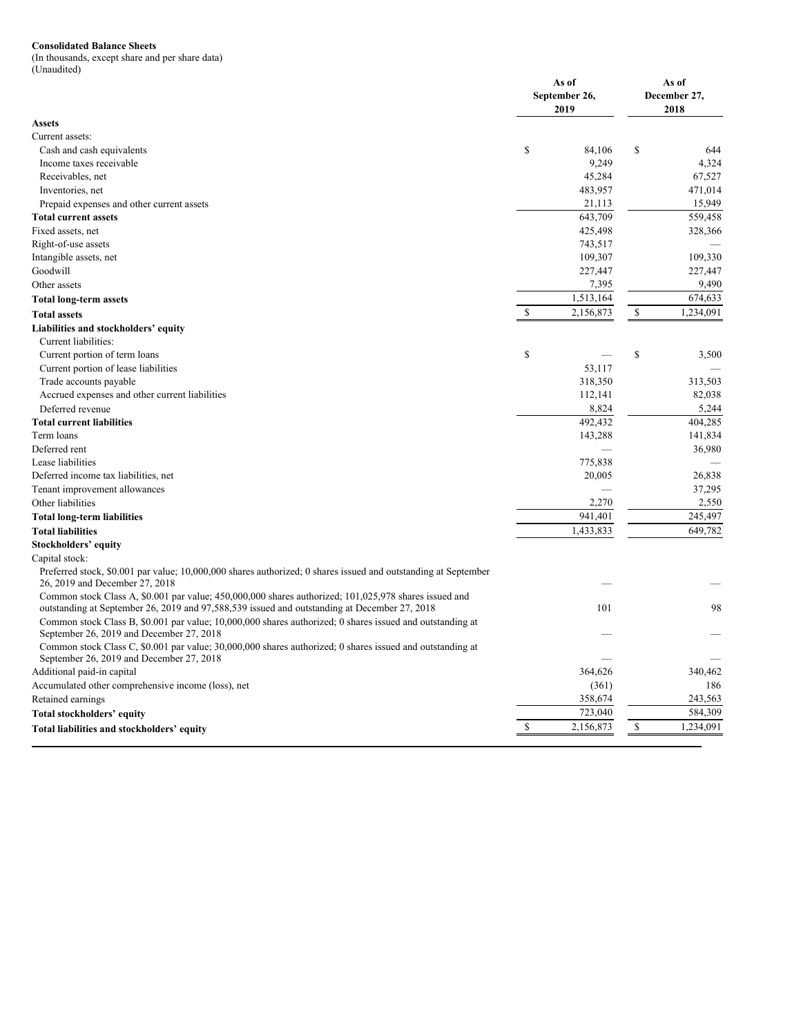#### <span id="page-8-0"></span>**Consolidated Balance Sheets**

(In thousands, except share and per share data) (Unaudited)

|                                                                                                                                                                                                       |    | As of<br>September 26,<br>2019 | As of<br>December 27,<br>2018 |                 |
|-------------------------------------------------------------------------------------------------------------------------------------------------------------------------------------------------------|----|--------------------------------|-------------------------------|-----------------|
| <b>Assets</b>                                                                                                                                                                                         |    |                                |                               |                 |
| Current assets:                                                                                                                                                                                       |    |                                |                               |                 |
| Cash and cash equivalents                                                                                                                                                                             | \$ | 84,106                         | \$                            | 644             |
| Income taxes receivable                                                                                                                                                                               |    | 9,249                          |                               | 4,324           |
| Receivables, net                                                                                                                                                                                      |    | 45,284                         |                               | 67,527          |
| Inventories, net                                                                                                                                                                                      |    | 483,957                        |                               | 471,014         |
| Prepaid expenses and other current assets                                                                                                                                                             |    | 21,113                         |                               | 15,949          |
| <b>Total current assets</b>                                                                                                                                                                           |    | 643,709                        |                               | 559,458         |
| Fixed assets, net                                                                                                                                                                                     |    | 425,498                        |                               | 328,366         |
| Right-of-use assets                                                                                                                                                                                   |    | 743,517                        |                               |                 |
| Intangible assets, net                                                                                                                                                                                |    | 109,307                        |                               | 109,330         |
| Goodwill                                                                                                                                                                                              |    | 227,447                        |                               | 227,447         |
| Other assets                                                                                                                                                                                          |    | 7,395                          |                               | 9,490           |
| <b>Total long-term assets</b>                                                                                                                                                                         |    | 1,513,164                      |                               | 674,633         |
| <b>Total assets</b>                                                                                                                                                                                   | \$ | 2,156,873                      | \$                            | 1,234,091       |
| Liabilities and stockholders' equity                                                                                                                                                                  |    |                                |                               |                 |
| Current liabilities:                                                                                                                                                                                  |    |                                |                               |                 |
| Current portion of term loans                                                                                                                                                                         | \$ |                                | \$                            | 3,500           |
| Current portion of lease liabilities                                                                                                                                                                  |    | 53,117                         |                               |                 |
| Trade accounts payable                                                                                                                                                                                |    | 318,350                        |                               | 313,503         |
| Accrued expenses and other current liabilities                                                                                                                                                        |    | 112,141<br>8,824               |                               | 82,038<br>5,244 |
| Deferred revenue<br><b>Total current liabilities</b>                                                                                                                                                  |    | 492,432                        |                               | 404,285         |
| Term loans                                                                                                                                                                                            |    | 143,288                        |                               | 141,834         |
| Deferred rent                                                                                                                                                                                         |    |                                |                               | 36,980          |
| Lease liabilities                                                                                                                                                                                     |    | 775,838                        |                               |                 |
| Deferred income tax liabilities, net                                                                                                                                                                  |    | 20,005                         |                               | 26,838          |
| Tenant improvement allowances                                                                                                                                                                         |    |                                |                               | 37,295          |
| Other liabilities                                                                                                                                                                                     |    | 2,270                          |                               | 2,550           |
| <b>Total long-term liabilities</b>                                                                                                                                                                    |    | 941,401                        |                               | 245,497         |
| <b>Total liabilities</b>                                                                                                                                                                              |    | 1,433,833                      |                               | 649,782         |
| Stockholders' equity                                                                                                                                                                                  |    |                                |                               |                 |
| Capital stock:                                                                                                                                                                                        |    |                                |                               |                 |
| Preferred stock, \$0.001 par value; 10,000,000 shares authorized; 0 shares issued and outstanding at September<br>26, 2019 and December 27, 2018                                                      |    |                                |                               |                 |
| Common stock Class A, \$0.001 par value; 450,000,000 shares authorized; 101,025,978 shares issued and<br>outstanding at September 26, 2019 and 97,588,539 issued and outstanding at December 27, 2018 |    | 101                            |                               | 98              |
| Common stock Class B, \$0.001 par value; 10,000,000 shares authorized; 0 shares issued and outstanding at<br>September 26, 2019 and December 27, 2018                                                 |    |                                |                               |                 |
| Common stock Class C, \$0.001 par value; 30,000,000 shares authorized; 0 shares issued and outstanding at<br>September 26, 2019 and December 27, 2018                                                 |    |                                |                               |                 |
| Additional paid-in capital                                                                                                                                                                            |    | 364,626                        |                               | 340,462         |
| Accumulated other comprehensive income (loss), net                                                                                                                                                    |    | (361)                          |                               | 186             |
| Retained earnings                                                                                                                                                                                     |    | 358,674                        |                               | 243,563         |
| Total stockholders' equity                                                                                                                                                                            |    | 723,040                        |                               | 584,309         |
| Total liabilities and stockholders' equity                                                                                                                                                            | \$ | 2,156,873                      | \$                            | 1,234,091       |
|                                                                                                                                                                                                       |    |                                |                               |                 |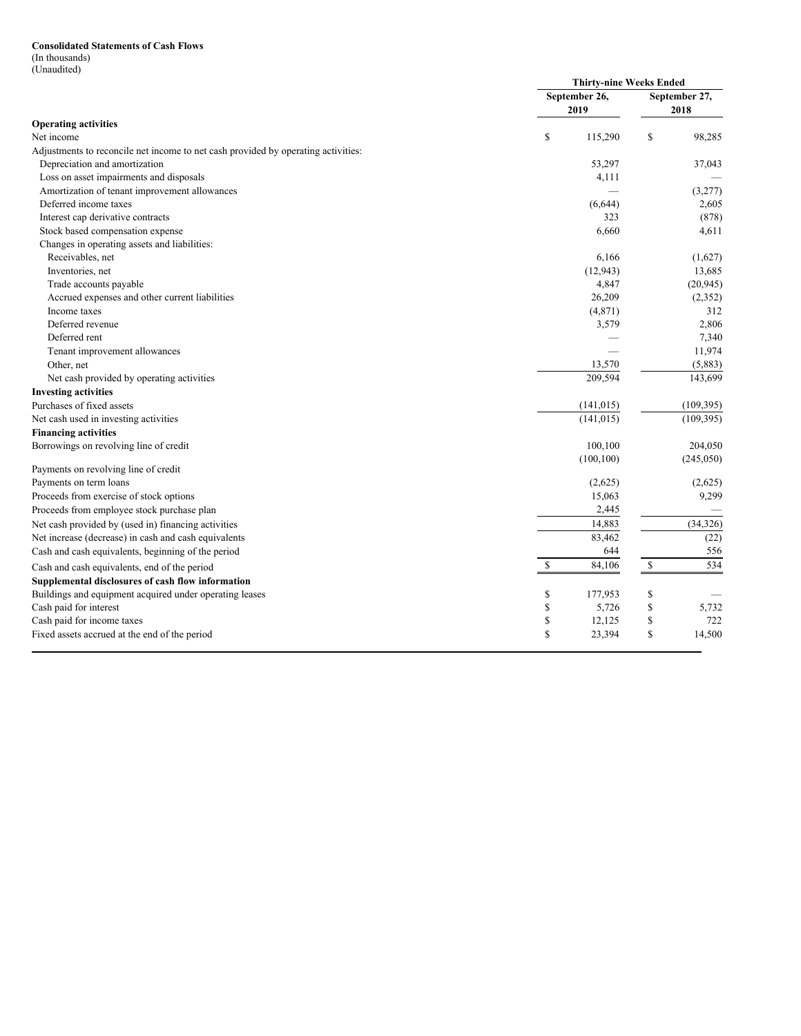#### **Consolidated Statements of Cash Flows**

(In thousands) (Unaudited)

| <b>Thirty-nine Weeks Ended</b>                                                    |                        |             |                       |  |
|-----------------------------------------------------------------------------------|------------------------|-------------|-----------------------|--|
|                                                                                   | September 26,<br>2019  |             | September 27,<br>2018 |  |
| <b>Operating activities</b>                                                       |                        |             |                       |  |
| Net income                                                                        | \$<br>115,290          | \$          | 98,285                |  |
| Adjustments to reconcile net income to net cash provided by operating activities: |                        |             |                       |  |
| Depreciation and amortization                                                     | 53,297                 |             | 37,043                |  |
| Loss on asset impairments and disposals                                           |                        | 4,111       |                       |  |
| Amortization of tenant improvement allowances                                     |                        |             | (3,277)               |  |
| Deferred income taxes                                                             | (6,644)                |             | 2,605                 |  |
| Interest cap derivative contracts                                                 |                        | 323         | (878)                 |  |
| Stock based compensation expense                                                  |                        | 6,660       | 4,611                 |  |
| Changes in operating assets and liabilities:                                      |                        |             |                       |  |
| Receivables, net                                                                  |                        | 6,166       | (1,627)               |  |
| Inventories, net                                                                  | (12, 943)              |             | 13,685                |  |
| Trade accounts payable                                                            |                        | 4,847       | (20, 945)             |  |
| Accrued expenses and other current liabilities                                    | 26,209                 |             | (2, 352)              |  |
| Income taxes                                                                      | (4,871)                |             | 312                   |  |
| Deferred revenue                                                                  |                        | 3,579       | 2,806                 |  |
| Deferred rent                                                                     |                        |             | 7,340                 |  |
| Tenant improvement allowances                                                     |                        |             | 11,974                |  |
| Other, net                                                                        | 13,570                 |             | (5,883)               |  |
| Net cash provided by operating activities                                         | 209,594                |             | 143,699               |  |
| <b>Investing activities</b>                                                       |                        |             |                       |  |
| Purchases of fixed assets                                                         | (141, 015)             |             | (109, 395)            |  |
| Net cash used in investing activities                                             | (141, 015)             |             | (109, 395)            |  |
| <b>Financing activities</b>                                                       |                        |             |                       |  |
| Borrowings on revolving line of credit                                            | 100,100                |             | 204,050               |  |
|                                                                                   | (100, 100)             |             | (245,050)             |  |
| Payments on revolving line of credit                                              |                        |             |                       |  |
| Payments on term loans                                                            | (2,625)                |             | (2,625)               |  |
| Proceeds from exercise of stock options                                           | 15,063                 |             | 9,299                 |  |
| Proceeds from employee stock purchase plan                                        |                        | 2,445       |                       |  |
| Net cash provided by (used in) financing activities                               | 14,883                 |             | (34, 326)             |  |
| Net increase (decrease) in cash and cash equivalents                              | 83,462                 |             | (22)                  |  |
| Cash and cash equivalents, beginning of the period                                |                        | 644         | 556                   |  |
| Cash and cash equivalents, end of the period                                      | \$<br>84,106           | \$          | 534                   |  |
| Supplemental disclosures of cash flow information                                 |                        |             |                       |  |
| Buildings and equipment acquired under operating leases                           | \$<br>177,953          | \$          |                       |  |
| Cash paid for interest                                                            | \$                     | \$<br>5,726 | 5,732                 |  |
| Cash paid for income taxes                                                        | \$<br>12,125           | \$          | 722                   |  |
| Fixed assets accrued at the end of the period                                     | $\mathbb{S}$<br>23,394 | \$          | 14,500                |  |
|                                                                                   |                        |             |                       |  |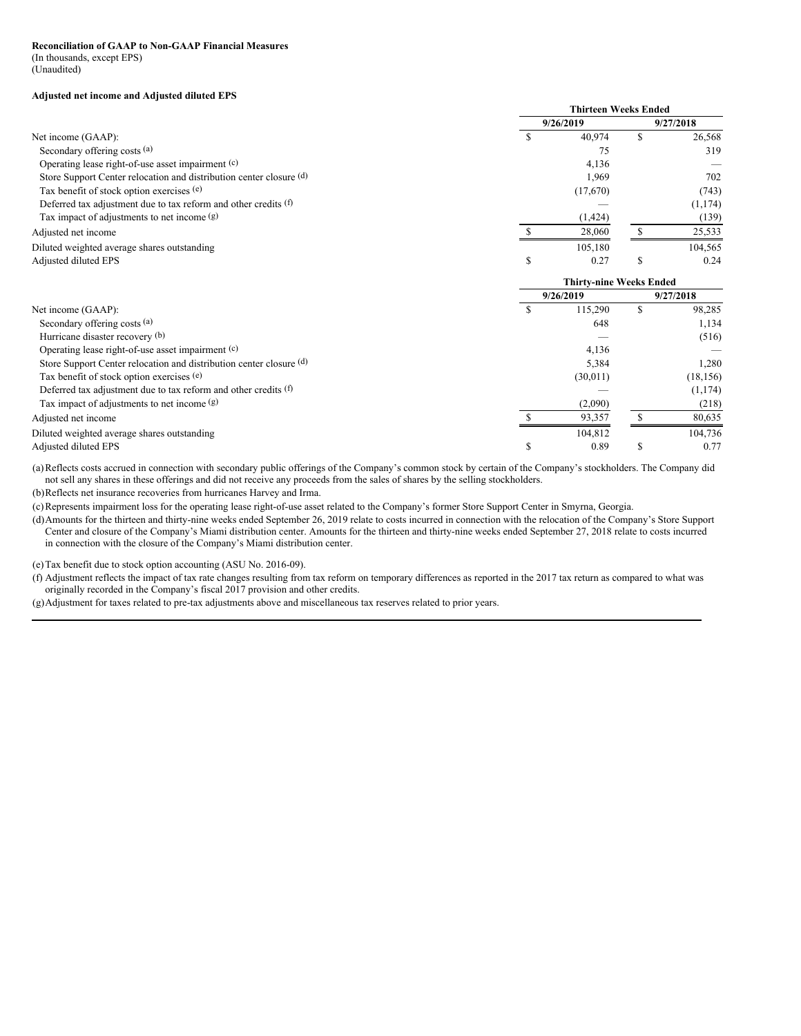#### **Reconciliation of GAAP to Non-GAAP Financial Measures**

(In thousands, except EPS)

#### (Unaudited)

#### **Adjusted net income and Adjusted diluted EPS**

|                                                                                                                                                                                                                                                                                                                                                                                                                                                                                                                        |                                | <b>Thirteen Weeks Ended</b> |           |           |  |  |
|------------------------------------------------------------------------------------------------------------------------------------------------------------------------------------------------------------------------------------------------------------------------------------------------------------------------------------------------------------------------------------------------------------------------------------------------------------------------------------------------------------------------|--------------------------------|-----------------------------|-----------|-----------|--|--|
| Secondary offering costs (a)<br>Operating lease right-of-use asset impairment (c)<br>Store Support Center relocation and distribution center closure (d)<br>Tax benefit of stock option exercises (e)<br>Deferred tax adjustment due to tax reform and other credits (f)<br>Tax impact of adjustments to net income (g)<br>Secondary offering costs (a)<br>Hurricane disaster recovery (b)<br>Operating lease right-of-use asset impairment (c)<br>Store Support Center relocation and distribution center closure (d) | 9/26/2019                      |                             | 9/27/2018 |           |  |  |
| Net income (GAAP):                                                                                                                                                                                                                                                                                                                                                                                                                                                                                                     | S                              | 40,974                      | S         | 26,568    |  |  |
|                                                                                                                                                                                                                                                                                                                                                                                                                                                                                                                        |                                | 75                          |           | 319       |  |  |
|                                                                                                                                                                                                                                                                                                                                                                                                                                                                                                                        |                                | 4,136                       |           |           |  |  |
|                                                                                                                                                                                                                                                                                                                                                                                                                                                                                                                        |                                | 1,969                       |           | 702       |  |  |
|                                                                                                                                                                                                                                                                                                                                                                                                                                                                                                                        |                                | (17,670)                    |           | (743)     |  |  |
|                                                                                                                                                                                                                                                                                                                                                                                                                                                                                                                        |                                |                             |           | (1, 174)  |  |  |
|                                                                                                                                                                                                                                                                                                                                                                                                                                                                                                                        |                                | (1, 424)                    |           | (139)     |  |  |
| Adjusted net income                                                                                                                                                                                                                                                                                                                                                                                                                                                                                                    | \$                             | 28,060                      | S         | 25,533    |  |  |
| Diluted weighted average shares outstanding                                                                                                                                                                                                                                                                                                                                                                                                                                                                            |                                | 105,180                     |           | 104,565   |  |  |
| <b>Adjusted diluted EPS</b>                                                                                                                                                                                                                                                                                                                                                                                                                                                                                            | \$                             | 0.27                        | S         | 0.24      |  |  |
|                                                                                                                                                                                                                                                                                                                                                                                                                                                                                                                        | <b>Thirty-nine Weeks Ended</b> |                             |           |           |  |  |
|                                                                                                                                                                                                                                                                                                                                                                                                                                                                                                                        |                                | 9/26/2019                   |           | 9/27/2018 |  |  |
| Net income (GAAP):                                                                                                                                                                                                                                                                                                                                                                                                                                                                                                     | <sup>\$</sup>                  | 115,290                     | S         | 98,285    |  |  |
|                                                                                                                                                                                                                                                                                                                                                                                                                                                                                                                        |                                | 648                         |           | 1,134     |  |  |
|                                                                                                                                                                                                                                                                                                                                                                                                                                                                                                                        |                                |                             |           | (516)     |  |  |
|                                                                                                                                                                                                                                                                                                                                                                                                                                                                                                                        |                                | 4,136                       |           |           |  |  |
|                                                                                                                                                                                                                                                                                                                                                                                                                                                                                                                        |                                | 5,384                       |           | 1,280     |  |  |
| Tax benefit of stock option exercises (e)                                                                                                                                                                                                                                                                                                                                                                                                                                                                              |                                | (30,011)                    |           | (18, 156) |  |  |
| Deferred tax adjustment due to tax reform and other credits (f)                                                                                                                                                                                                                                                                                                                                                                                                                                                        |                                |                             |           | (1, 174)  |  |  |
| Tax impact of adjustments to net income (g)                                                                                                                                                                                                                                                                                                                                                                                                                                                                            |                                | (2,090)                     |           | (218)     |  |  |
| Adjusted net income                                                                                                                                                                                                                                                                                                                                                                                                                                                                                                    |                                | 93,357                      | S         | 80,635    |  |  |
| Diluted weighted average shares outstanding                                                                                                                                                                                                                                                                                                                                                                                                                                                                            |                                | 104,812                     |           | 104,736   |  |  |
| <b>Adjusted diluted EPS</b>                                                                                                                                                                                                                                                                                                                                                                                                                                                                                            | \$                             | 0.89                        | \$        | 0.77      |  |  |

(a)Reflects costs accrued in connection with secondary public offerings of the Company's common stock by certain of the Company's stockholders. The Company did not sell any shares in these offerings and did not receive any proceeds from the sales of shares by the selling stockholders.

(b)Reflects net insurance recoveries from hurricanes Harvey and Irma.

(c)Represents impairment loss for the operating lease right-of-use asset related to the Company's former Store Support Center in Smyrna, Georgia.

(d)Amounts for the thirteen and thirty-nine weeks ended September 26, 2019 relate to costs incurred in connection with the relocation of the Company's Store Support Center and closure of the Company's Miami distribution center. Amounts for the thirteen and thirty-nine weeks ended September 27, 2018 relate to costs incurred in connection with the closure of the Company's Miami distribution center.

(e)Tax benefit due to stock option accounting (ASU No. 2016-09).

(f) Adjustment reflects the impact of tax rate changes resulting from tax reform on temporary differences as reported in the 2017 tax return as compared to what was originally recorded in the Company's fiscal 2017 provision and other credits.

(g)Adjustment for taxes related to pre-tax adjustments above and miscellaneous tax reserves related to prior years.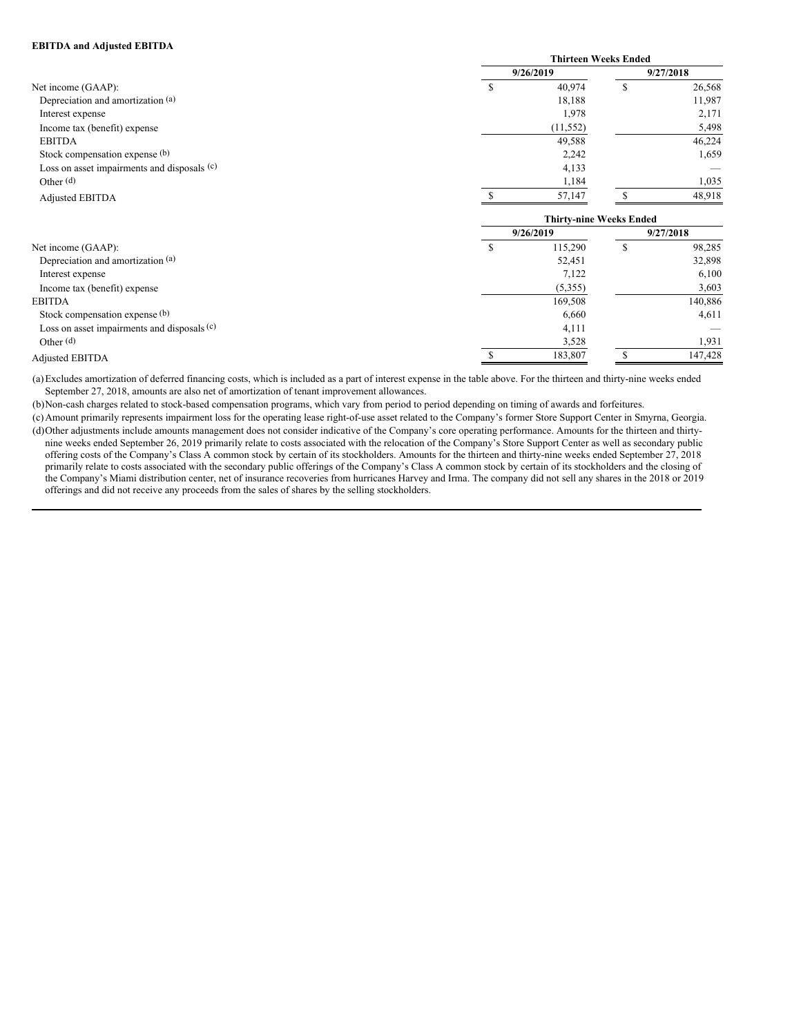#### **EBITDA and Adjusted EBITDA**

|                                               |           | <b>Thirteen Weeks Ended</b> |  |           |  |  |
|-----------------------------------------------|-----------|-----------------------------|--|-----------|--|--|
|                                               | 9/26/2019 |                             |  | 9/27/2018 |  |  |
| Net income (GAAP):                            |           | 40,974                      |  | 26,568    |  |  |
| Depreciation and amortization (a)             |           | 18,188                      |  | 11,987    |  |  |
| Interest expense                              |           | 1,978                       |  | 2,171     |  |  |
| Income tax (benefit) expense                  |           | (11, 552)                   |  | 5,498     |  |  |
| <b>EBITDA</b>                                 |           | 49,588                      |  | 46,224    |  |  |
| Stock compensation expense (b)                |           | 2,242                       |  | 1,659     |  |  |
| Loss on asset impairments and disposals $(c)$ |           | 4,133                       |  |           |  |  |
| Other $(d)$                                   |           | 1,184                       |  | 1,035     |  |  |
| <b>Adjusted EBITDA</b>                        |           | 57,147                      |  | 48,918    |  |  |

|                                               |    | <b>Thirty-nine Weeks Ended</b> |    |           |  |  |
|-----------------------------------------------|----|--------------------------------|----|-----------|--|--|
|                                               |    | 9/26/2019                      |    | 9/27/2018 |  |  |
| Net income (GAAP):                            | ۰D | 115,290                        | .Ъ | 98,285    |  |  |
| Depreciation and amortization (a)             |    | 52,451                         |    | 32,898    |  |  |
| Interest expense                              |    | 7,122                          |    | 6,100     |  |  |
| Income tax (benefit) expense                  |    | (5,355)                        |    | 3,603     |  |  |
| <b>EBITDA</b>                                 |    | 169,508                        |    | 140,886   |  |  |
| Stock compensation expense (b)                |    | 6,660                          |    | 4,611     |  |  |
| Loss on asset impairments and disposals $(c)$ |    | 4,111                          |    |           |  |  |
| Other $(d)$                                   |    | 3,528                          |    | 1,931     |  |  |
| <b>Adjusted EBITDA</b>                        |    | 183,807                        |    | 147,428   |  |  |

(a)Excludes amortization of deferred financing costs, which is included as a part of interest expense in the table above. For the thirteen and thirty-nine weeks ended September 27, 2018, amounts are also net of amortization of tenant improvement allowances.

(b)Non-cash charges related to stock-based compensation programs, which vary from period to period depending on timing of awards and forfeitures.

(c)Amount primarily represents impairment loss for the operating lease right-of-use asset related to the Company's former Store Support Center in Smyrna, Georgia. (d)Other adjustments include amounts management does not consider indicative of the Company's core operating performance. Amounts for the thirteen and thirtynine weeks ended September 26, 2019 primarily relate to costs associated with the relocation of the Company's Store Support Center as well as secondary public offering costs of the Company's Class A common stock by certain of its stockholders. Amounts for the thirteen and thirty-nine weeks ended September 27, 2018 primarily relate to costs associated with the secondary public offerings of the Company's Class A common stock by certain of its stockholders and the closing of the Company's Miami distribution center, net of insurance recoveries from hurricanes Harvey and Irma. The company did not sell any shares in the 2018 or 2019 offerings and did not receive any proceeds from the sales of shares by the selling stockholders.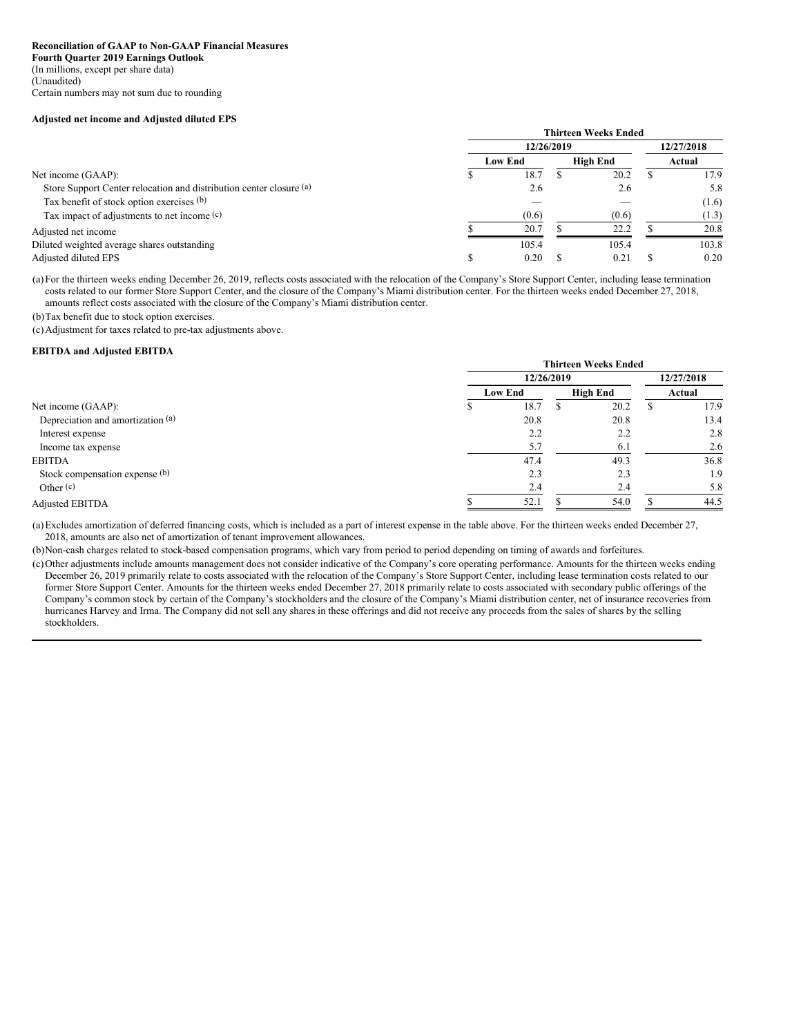**Fourth Quarter 2019 Earnings Outlook** (In millions, except per share data) (Unaudited)

Certain numbers may not sum due to rounding

#### **Adjusted net income and Adjusted diluted EPS**

|                                                                     | <b>Thirteen Weeks Ended</b> |                |  |                 |  |        |  |
|---------------------------------------------------------------------|-----------------------------|----------------|--|-----------------|--|--------|--|
|                                                                     | 12/26/2019                  |                |  | 12/27/2018      |  |        |  |
|                                                                     |                             | <b>Low End</b> |  | <b>High End</b> |  | Actual |  |
| Net income (GAAP):                                                  |                             | 18.7           |  | 20.2            |  | 17.9   |  |
| Store Support Center relocation and distribution center closure (a) |                             | 2.6            |  | 2.6             |  | 5.8    |  |
| Tax benefit of stock option exercises (b)                           |                             |                |  |                 |  | (1.6)  |  |
| Tax impact of adjustments to net income $(c)$                       |                             | (0.6)          |  | (0.6)           |  | (1.3)  |  |
| Adjusted net income                                                 |                             | 20.7           |  | 22.2            |  | 20.8   |  |
| Diluted weighted average shares outstanding                         |                             | 105.4          |  | 105.4           |  | 103.8  |  |
| <b>Adjusted diluted EPS</b>                                         |                             | 0.20           |  | 0.21            |  | 0.20   |  |

(a) For the thirteen weeks ending December 26, 2019, reflects costs associated with the relocation of the Company's Store Support Center, including lease termination costs related to our former Store Support Center, and the closure of the Company's Miami distribution center. For the thirteen weeks ended December 27, 2018, amounts reflect costs associated with the closure of the Company's Miami distribution center.

(b)Tax benefit due to stock option exercises.

(c)Adjustment for taxes related to pre-tax adjustments above.

#### **EBITDA and Adjusted EBITDA**

|                                   | <b>Thirteen Weeks Ended</b> |      |                 |      |            |      |  |  |
|-----------------------------------|-----------------------------|------|-----------------|------|------------|------|--|--|
|                                   | 12/26/2019                  |      |                 |      | 12/27/2018 |      |  |  |
|                                   | <b>Low End</b>              |      | <b>High End</b> |      | Actual     |      |  |  |
| Net income (GAAP):                |                             | 18.7 |                 | 20.2 |            | 17.9 |  |  |
| Depreciation and amortization (a) |                             | 20.8 |                 | 20.8 |            | 13.4 |  |  |
| Interest expense                  |                             | 2.2  |                 | 2.2  |            | 2.8  |  |  |
| Income tax expense                |                             | 5.7  |                 | 6.1  |            | 2.6  |  |  |
| <b>EBITDA</b>                     |                             | 47.4 |                 | 49.3 |            | 36.8 |  |  |
| Stock compensation expense (b)    |                             | 2.3  |                 | 2.3  |            | 1.9  |  |  |
| Other $(c)$                       |                             | 2.4  |                 | 2.4  |            | 5.8  |  |  |
| Adjusted EBITDA                   |                             | 52.1 |                 | 54.0 |            | 44.5 |  |  |

(a)Excludes amortization of deferred financing costs, which is included as a part of interest expense in the table above. For the thirteen weeks ended December 27, 2018, amounts are also net of amortization of tenant improvement allowances.

(b)Non-cash charges related to stock-based compensation programs, which vary from period to period depending on timing of awards and forfeitures.

(c)Other adjustments include amounts management does not consider indicative of the Company's core operating performance. Amounts for the thirteen weeks ending December 26, 2019 primarily relate to costs associated with the relocation of the Company's Store Support Center, including lease termination costs related to our former Store Support Center. Amounts for the thirteen weeks ended December 27, 2018 primarily relate to costs associated with secondary public offerings of the Company's common stock by certain of the Company's stockholders and the closure of the Company's Miami distribution center, net of insurance recoveries from hurricanes Harvey and Irma. The Company did not sell any shares in these offerings and did not receive any proceeds from the sales of shares by the selling stockholders.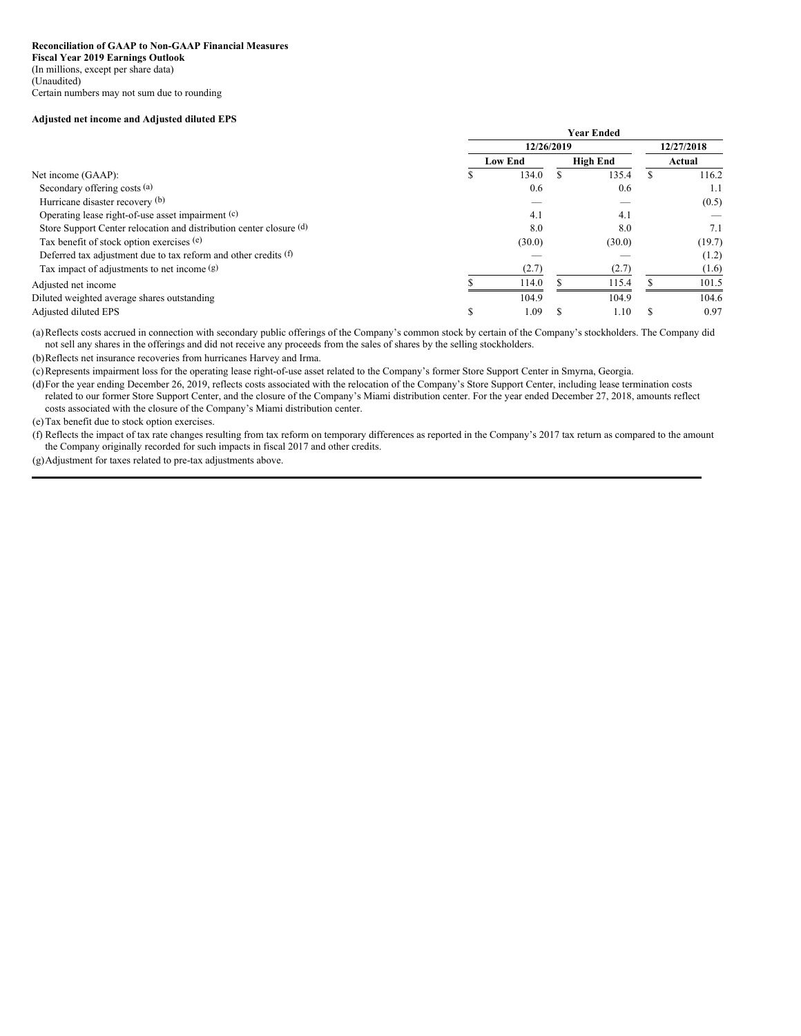**Fiscal Year 2019 Earnings Outlook** (In millions, except per share data) (Unaudited) Certain numbers may not sum due to rounding

#### **Adjusted net income and Adjusted diluted EPS**

|                                                                     |                | <b>Year Ended</b> |                 |        |            |        |  |  |  |
|---------------------------------------------------------------------|----------------|-------------------|-----------------|--------|------------|--------|--|--|--|
|                                                                     | 12/26/2019     |                   |                 |        | 12/27/2018 |        |  |  |  |
| Net income (GAAP):                                                  | <b>Low End</b> |                   | <b>High End</b> |        |            | Actual |  |  |  |
|                                                                     |                | 134.0             |                 | 135.4  |            | 116.2  |  |  |  |
| Secondary offering costs (a)                                        |                | 0.6               |                 | 0.6    |            | 1.1    |  |  |  |
| Hurricane disaster recovery (b)                                     |                |                   |                 |        |            | (0.5)  |  |  |  |
| Operating lease right-of-use asset impairment (c)                   |                | 4.1               |                 | 4.1    |            |        |  |  |  |
| Store Support Center relocation and distribution center closure (d) |                | 8.0               |                 | 8.0    |            | 7.1    |  |  |  |
| Tax benefit of stock option exercises (e)                           |                | (30.0)            |                 | (30.0) |            | (19.7) |  |  |  |
| Deferred tax adjustment due to tax reform and other credits (f)     |                |                   |                 |        |            | (1.2)  |  |  |  |
| Tax impact of adjustments to net income $(g)$                       |                | (2.7)             |                 | (2.7)  |            | (1.6)  |  |  |  |
| Adjusted net income                                                 |                | 114.0             |                 | 115.4  |            | 101.5  |  |  |  |
| Diluted weighted average shares outstanding                         |                | 104.9             |                 | 104.9  |            | 104.6  |  |  |  |
| Adjusted diluted EPS                                                |                | 1.09              |                 | 1.10   |            | 0.97   |  |  |  |

(a)Reflects costs accrued in connection with secondary public offerings of the Company's common stock by certain of the Company's stockholders. The Company did not sell any shares in the offerings and did not receive any proceeds from the sales of shares by the selling stockholders.

(b)Reflects net insurance recoveries from hurricanes Harvey and Irma.

(c)Represents impairment loss for the operating lease right-of-use asset related to the Company's former Store Support Center in Smyrna, Georgia.

(d)For the year ending December 26, 2019, reflects costs associated with the relocation of the Company's Store Support Center, including lease termination costs related to our former Store Support Center, and the closure of the Company's Miami distribution center. For the year ended December 27, 2018, amounts reflect costs associated with the closure of the Company's Miami distribution center.

(e)Tax benefit due to stock option exercises.

(f) Reflects the impact of tax rate changes resulting from tax reform on temporary differences as reported in the Company's 2017 tax return as compared to the amount the Company originally recorded for such impacts in fiscal 2017 and other credits.

(g)Adjustment for taxes related to pre-tax adjustments above.